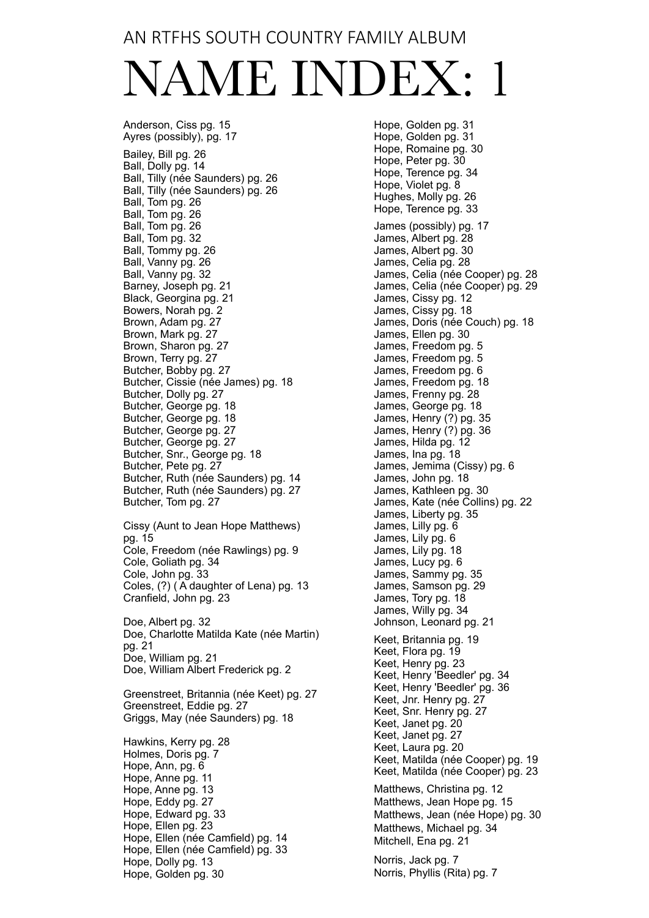#### AN RTFHS SOUTH COUNTRY FAMILY ALBUM

# NAME INDEX: 1

Anderson, Ciss pg. 15 Ayres (possibly), pg. 17 Bailey, Bill pg. 26 Ball, Dolly pg. 14 Ball, Tilly (née Saunders) pg. 26 Ball, Tilly (née Saunders) pg. 26 Ball, Tom pg. 26 Ball, Tom pg. 26 Ball, Tom pg. 26 Ball, Tom pg. 32 Ball, Tommy pg. 26 Ball, Vanny pg. 26 Ball, Vanny pg. 32 Barney, Joseph pg. 21 Black, Georgina pg. 21 Bowers, Norah pg. 2 Brown, Adam pg. 27 Brown, Mark pg. 27 Brown, Sharon pg. 27 Brown, Terry pg. 27 Butcher, Bobby pg. 27 Butcher, Cissie (née James) pg. 18 Butcher, Dolly pg. 27 Butcher, George pg. 18 Butcher, George pg. 18 Butcher, George pg. 27 Butcher, George pg. 27 Butcher, Snr., George pg. 18 Butcher, Pete pg. 27 Butcher, Ruth (née Saunders) pg. 14 Butcher, Ruth (née Saunders) pg. 27 Butcher, Tom pg. 27 Cissy (Aunt to Jean Hope Matthews) pg. 15 Cole, Freedom (née Rawlings) pg. 9 Cole, Goliath pg. 34 Cole, John pg. 33 Coles, (?) ( A daughter of Lena) pg. 13 Cranfield, John pg. 23 Doe, Albert pg. 32 Doe, Charlotte Matilda Kate (née Martin) pg. 21 Doe, William pg. 21 Doe, William Albert Frederick pg. 2 Greenstreet, Britannia (née Keet) pg. 27 Greenstreet, Eddie pg. 27 Griggs, May (née Saunders) pg. 18 Hawkins, Kerry pg. 28 Holmes, Doris pg. 7 Hope, Ann, pg. 6 Hope, Anne pg. 11 Hope, Anne pg. 13 Hope, Eddy pg. 27 Hope, Edward pg. 33 Hope, Ellen pg. 23 Hope, Ellen (née Camfield) pg. 14 Hope, Ellen (née Camfield) pg. 33 Hope, Dolly pg. 13

Hope, Golden pg. 30

Hope, Golden pg. 31 Hope, Golden pg. 31 Hope, Romaine pg. 30 Hope, Peter pg. 30 Hope, Terence pg. 34 Hope, Violet pg. 8 Hughes, Molly pg. 26 Hope, Terence pg. 33 James (possibly) pg. 17 James, Albert pg. 28 James, Albert pg. 30 James, Celia pg. 28 James, Celia (née Cooper) pg. 28 James, Celia (née Cooper) pg. 29 James, Cissy pg. 12 James, Cissy pg. 18 James, Doris (née Couch) pg. 18 James, Ellen pg. 30 James, Freedom pg. 5 James, Freedom pg. 5 James, Freedom pg. 6 James, Freedom pg. 18 James, Frenny pg. 28 James, George pg. 18 James, Henry (?) pg. 35 James, Henry (?) pg. 36 James, Hilda pg. 12 James, Ina pg. 18 James, Jemima (Cissy) pg. 6 James, John pg. 18 James, Kathleen pg. 30 James, Kate (née Collins) pg. 22 James, Liberty pg. 35 James, Lilly pg. 6 James, Lily pg. 6 James, Lily pg. 18 James, Lucy pg. 6 James, Sammy pg. 35 James, Samson pg. 29 James, Tory pg. 18 James, Willy pg. 34 Johnson, Leonard pg. 21 Keet, Britannia pg. 19 Keet, Flora pg. 19 Keet, Henry pg. 23 Keet, Henry 'Beedler' pg. 34 Keet, Henry 'Beedler' pg. 36 Keet, Jnr. Henry pg. 27 Keet, Snr. Henry pg. 27 Keet, Janet pg. 20 Keet, Janet pg. 27 Keet, Laura pg. 20 Keet, Matilda (née Cooper) pg. 19 Keet, Matilda (née Cooper) pg. 23 Matthews, Christina pg. 12 Matthews, Jean Hope pg. 15 Matthews, Jean (née Hope) pg. 30 Matthews, Michael pg. 34 Mitchell, Ena pg. 21 Norris, Jack pg. 7 Norris, Phyllis (Rita) pg. 7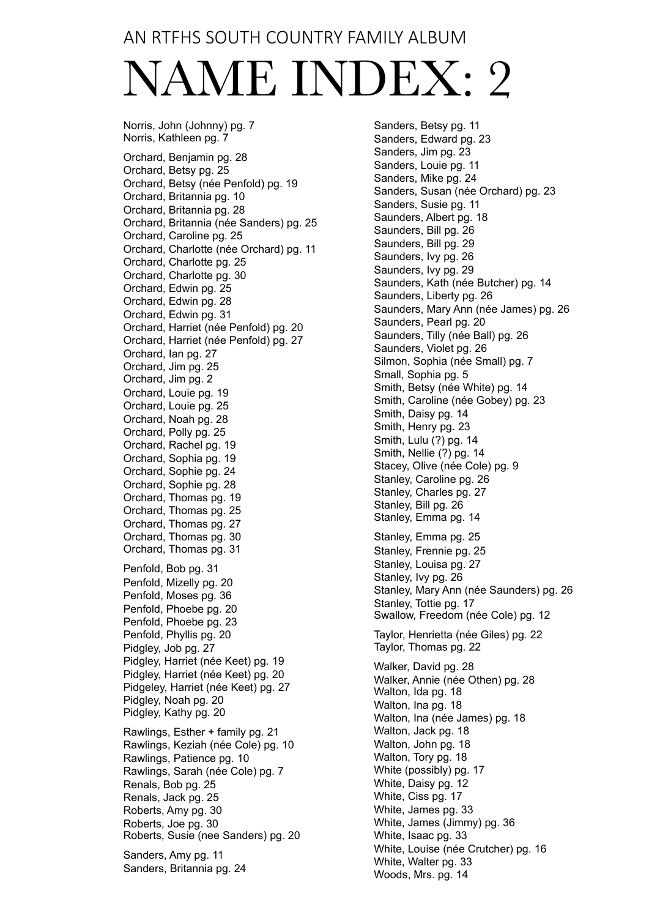### AN RTFHS SOUTH COUNTRY FAMILY ALBUM

# NAME INDEX: 2

Norris, John (Johnny) pg. 7 Norris, Kathleen pg. 7 Orchard, Benjamin pg. 28 Orchard, Betsy pg. 25 Orchard, Betsy (née Penfold) pg. 19 Orchard, Britannia pg. 10 Orchard, Britannia pg. 28 Orchard, Britannia (née Sanders) pg. 25 Orchard, Caroline pg. 25 Orchard, Charlotte (née Orchard) pg. 11 Orchard, Charlotte pg. 25 Orchard, Charlotte pg. 30 Orchard, Edwin pg. 25 Orchard, Edwin pg. 28 Orchard, Edwin pg. 31 Orchard, Harriet (née Penfold) pg. 20 Orchard, Harriet (née Penfold) pg. 27 Orchard, Ian pg. 27 Orchard, Jim pg. 25 Orchard, Jim pg. 2 Orchard, Louie pg. 19 Orchard, Louie pg. 25 Orchard, Noah pg. 28 Orchard, Polly pg. 25 Orchard, Rachel pg. 19 Orchard, Sophia pg. 19 Orchard, Sophie pg. 24 Orchard, Sophie pg. 28 Orchard, Thomas pg. 19 Orchard, Thomas pg. 25 Orchard, Thomas pg. 27 Orchard, Thomas pg. 30 Orchard, Thomas pg. 31 Penfold, Bob pg. 31 Penfold, Mizelly pg. 20 Penfold, Moses pg. 36 Penfold, Phoebe pg. 20 Penfold, Phoebe pg. 23 Penfold, Phyllis pg. 20 Pidgley, Job pg. 27 Pidgley, Harriet (née Keet) pg. 19 Pidgley, Harriet (née Keet) pg. 20 Pidgeley, Harriet (née Keet) pg. 27 Pidgley, Noah pg. 20 Pidgley, Kathy pg. 20 Rawlings, Esther + family pg. 21 Rawlings, Keziah (née Cole) pg. 10 Rawlings, Patience pg. 10 Rawlings, Sarah (née Cole) pg. 7 Renals, Bob pg. 25 Renals, Jack pg. 25 Roberts, Amy pg. 30 Roberts, Joe pg. 30 Roberts, Susie (nee Sanders) pg. 20 Sanders, Amy pg. 11 Sanders, Britannia pg. 24

Sanders, Betsy pg. 11 Sanders, Edward pg. 23 Sanders, Jim pg. 23 Sanders, Louie pg. 11 Sanders, Mike pg. 24 Sanders, Susan (née Orchard) pg. 23 Sanders, Susie pg. 11 Saunders, Albert pg. 18 Saunders, Bill pg. 26 Saunders, Bill pg. 29 Saunders, Ivy pg. 26 Saunders, Ivy pg. 29 Saunders, Kath (née Butcher) pg. 14 Saunders, Liberty pg. 26 Saunders, Mary Ann (née James) pg. 26 Saunders, Pearl pg. 20 Saunders, Tilly (née Ball) pg. 26 Saunders, Violet pg. 26 Silmon, Sophia (née Small) pg. 7 Small, Sophia pg. 5 Smith, Betsy (née White) pg. 14 Smith, Caroline (née Gobey) pg. 23 Smith, Daisy pg. 14 Smith, Henry pg. 23 Smith, Lulu (?) pg. 14 Smith, Nellie (?) pg. 14 Stacey, Olive (née Cole) pg. 9 Stanley, Caroline pg. 26 Stanley, Charles pg. 27 Stanley, Bill pg. 26 Stanley, Emma pg. 14 Stanley, Emma pg. 25 Stanley, Frennie pg. 25 Stanley, Louisa pg. 27 Stanley, Ivy pg. 26 Stanley, Mary Ann (née Saunders) pg. 26 Stanley, Tottie pg. 17 Swallow, Freedom (née Cole) pg. 12 Taylor, Henrietta (née Giles) pg. 22 Taylor, Thomas pg. 22 Walker, David pg. 28 Walker, Annie (née Othen) pg. 28 Walton, Ida pg. 18 Walton, Ina pg. 18 Walton, Ina (née James) pg. 18 Walton, Jack pg. 18 Walton, John pg. 18 Walton, Tory pg. 18 White (possibly) pg. 17 White, Daisy pg. 12 White, Ciss pg. 17 White, James pg. 33 White, James (Jimmy) pg. 36 White, Isaac pg. 33 White, Louise (née Crutcher) pg. 16 White, Walter pg. 33 Woods, Mrs. pg. 14